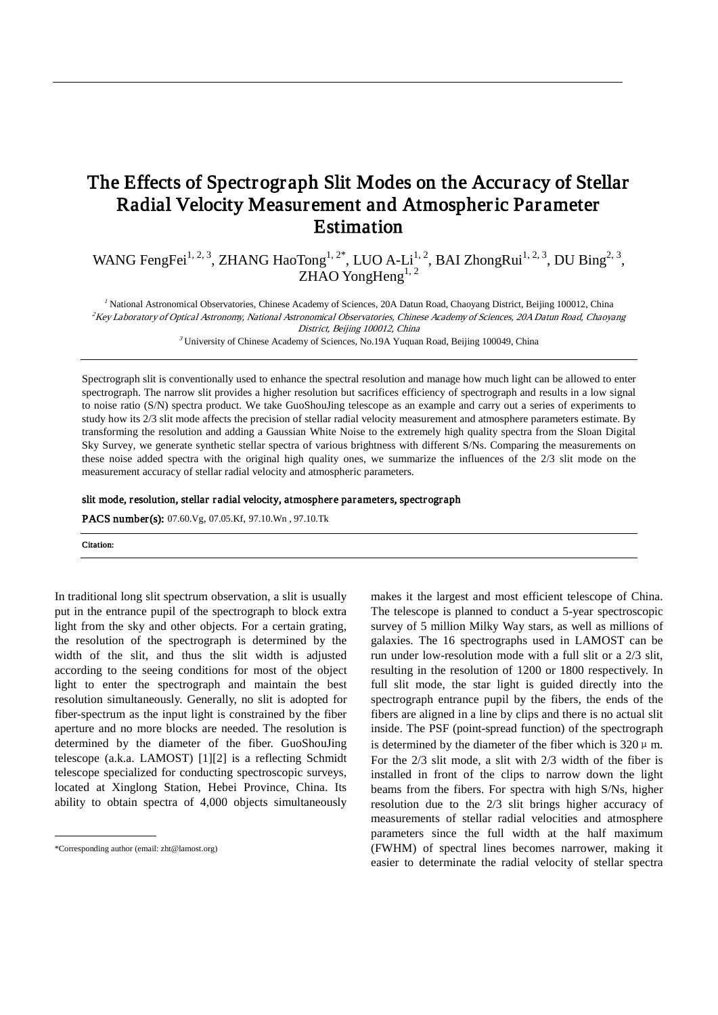# The Effects of Spectrograph Slit Modes on the Accuracy of Stellar Radial Velocity Measurement and Atmospheric Parameter Estimation

WANG FengFei<sup>1, 2, 3</sup>, ZHANG HaoTong<sup>1, 2\*</sup>, LUO A-Li<sup>1, 2</sup>, BAI ZhongRui<sup>1, 2, 3</sup>, DU Bing<sup>2, 3</sup>, ZHAO YongHeng $^{1, 2}$ 

<sup>1</sup> National Astronomical Observatories, Chinese Academy of Sciences, 20A Datun Road, Chaoyang District, Beijing 100012, China <sup>2</sup>Key Laboratory of Optical Astronomy, National Astronomical Observatories, Chinese Academy of Sciences, 20A Datun Road, Chaoyang District, Beijing 100012, China

 $3$  University of Chinese Academy of Sciences, No.19A Yuquan Road, Beijing 100049, China

Spectrograph slit is conventionally used to enhance the spectral resolution and manage how much light can be allowed to enter spectrograph. The narrow slit provides a higher resolution but sacrifices efficiency of spectrograph and results in a low signal to noise ratio (S/N) spectra product. We take GuoShouJing telescope as an example and carry out a series of experiments to study how its 2/3 slit mode affects the precision of stellar radial velocity measurement and atmosphere parameters estimate. By transforming the resolution and adding a Gaussian White Noise to the extremely high quality spectra from the Sloan Digital Sky Survey, we generate synthetic stellar spectra of various brightness with different S/Ns. Comparing the measurements on these noise added spectra with the original high quality ones, we summarize the influences of the 2/3 slit mode on the measurement accuracy of stellar radial velocity and atmospheric parameters.

#### slit mode, resolution, stellar radial velocity, atmosphere parameters, spectrograph

PACS number(s): 07.60.Vg, 07.05.Kf, 97.10.Wn , 97.10.Tk

Citation:

In traditional long slit spectrum observation, a slit is usually put in the entrance pupil of the spectrograph to block extra light from the sky and other objects. For a certain grating, the resolution of the spectrograph is determined by the width of the slit, and thus the slit width is adjusted according to the seeing conditions for most of the object light to enter the spectrograph and maintain the best resolution simultaneously. Generally, no slit is adopted for fiber-spectrum as the input light is constrained by the fiber aperture and no more blocks are needed. The resolution is determined by the diameter of the fiber. GuoShouJing telescope (a.k.a. LAMOST) [1][2] is a reflecting Schmidt telescope specialized for conducting spectroscopic surveys, located at [Xinglong Station,](http://en.wikipedia.org/wiki/Xinglong_Station_%28NAOC%29) [Hebei Province,](http://en.wikipedia.org/wiki/Hebei_Province) China. Its ability to obtain spectra of 4,000 objects simultaneously

 $\overline{a}$ 

makes it the largest and most efficient telescope of China. The telescope is planned to conduct a 5-year [spectroscopic](http://en.wikipedia.org/wiki/Astronomical_spectroscopy)  [survey](http://en.wikipedia.org/wiki/Astronomical_spectroscopy) of 5 million [Milky Way](http://en.wikipedia.org/wiki/Milky_Way) stars, as well as millions of galaxies. The 16 spectrographs used in LAMOST can be run under low-resolution mode with a full slit or a 2/3 slit, resulting in the resolution of 1200 or 1800 respectively. In full slit mode, the star light is guided directly into the spectrograph entrance pupil by the fibers, the ends of the fibers are aligned in a line by clips and there is no actual slit inside. The PSF (point-spread function) of the spectrograph is determined by the diameter of the fiber which is  $320 \mu$  m. For the 2/3 slit mode, a slit with 2/3 width of the fiber is installed in front of the clips to narrow down the light beams from the fibers. For spectra with high S/Ns, higher resolution due to the 2/3 slit brings higher accuracy of measurements of stellar radial velocities and atmosphere parameters since the full width at the half maximum (FWHM) of spectral lines becomes narrower, making it easier to determinate the radial velocity of stellar spectra

<sup>\*</sup>Corresponding author (email: zht@lamost.org)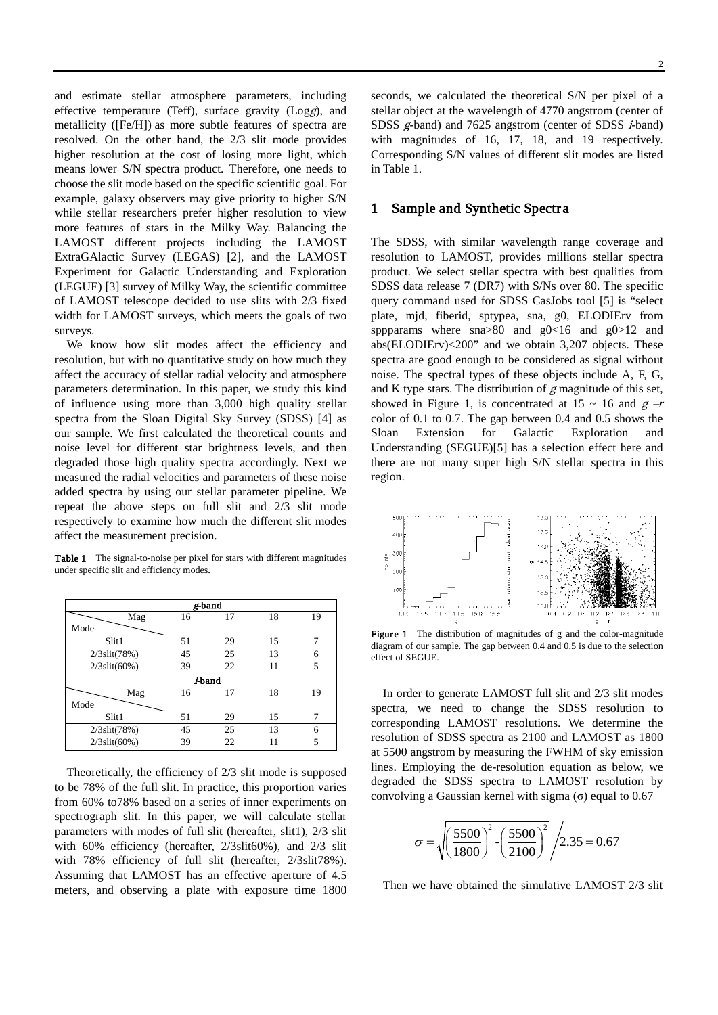and estimate stellar atmosphere parameters, including effective temperature (Teff), surface gravity (Logg), and metallicity ([Fe/H]) as more subtle features of spectra are resolved. On the other hand, the 2/3 slit mode provides higher resolution at the cost of losing more light, which means lower S/N spectra product. Therefore, one needs to choose the slit mode based on the specific scientific goal. For example, galaxy observers may give priority to higher S/N while stellar researchers prefer higher resolution to view more features of stars in the Milky Way. Balancing the LAMOST different projects including the LAMOST ExtraGAlactic Survey (LEGAS) [2], and the LAMOST Experiment for Galactic Understanding and Exploration (LEGUE) [3] survey of Milky Way, the scientific committee of LAMOST telescope decided to use slits with 2/3 fixed width for LAMOST surveys, which meets the goals of two surveys.

We know how slit modes affect the efficiency and resolution, but with no quantitative study on how much they affect the accuracy of stellar radial velocity and atmosphere parameters determination. In this paper, we study this kind of influence using more than 3,000 high quality stellar spectra from the Sloan Digital Sky Survey (SDSS) [4] as our sample. We first calculated the theoretical counts and noise level for different star brightness levels, and then degraded those high quality spectra accordingly. Next we measured the radial velocities and parameters of these noise added spectra by using our stellar parameter pipeline. We repeat the above steps on full slit and 2/3 slit mode respectively to examine how much the different slit modes affect the measurement precision.

Table 1 The signal-to-noise per pixel for stars with different magnitudes under specific slit and efficiency modes.

| µ-band              |    |    |    |    |  |  |
|---------------------|----|----|----|----|--|--|
| Mag                 | 16 | 17 | 18 | 19 |  |  |
| Mode                |    |    |    |    |  |  |
| Slit1               | 51 | 29 | 15 |    |  |  |
| $2/3$ slit $(78%)$  | 45 | 25 | 13 | 6  |  |  |
| $2/3$ slit $(60\%)$ | 39 | 22 | 11 | 5  |  |  |
| <i>i</i> -band      |    |    |    |    |  |  |
| Mag                 | 16 | 17 | 18 | 19 |  |  |
| Mode                |    |    |    |    |  |  |
| Slit1               | 51 | 29 | 15 |    |  |  |
| $2/3$ slit $(78%)$  | 45 | 25 | 13 | 6  |  |  |
| $2/3$ slit $(60\%)$ | 39 | 22 | 11 | 5  |  |  |

Theoretically, the efficiency of 2/3 slit mode is supposed to be 78% of the full slit. In practice, this [proportion](http://dict.youdao.com/w/proportion/) varies from 60% to78% based on a series of inner experiments on spectrograph slit. In this paper, we will calculate stellar parameters with modes of full slit (hereafter, slit1), 2/3 slit with 60% efficiency (hereafter, 2/3slit60%), and 2/3 slit with 78% efficiency of full slit (hereafter, 2/3slit78%). Assuming that LAMOST has an effective aperture of 4.5 meters, and observing a plate with exposure time 1800 seconds, we calculated the theoretical S/N per pixel of a stellar object at the wavelength of 4770 angstrom (center of SDSS g-band) and 7625 angstrom (center of SDSS *i*-band) with magnitudes of 16, 17, 18, and 19 respectively. Corresponding S/N values of different slit modes are listed in Table 1.

### 1 Sample and Synthetic Spectra

The SDSS, with similar wavelength range coverage and resolution to LAMOST, provides millions stellar spectra product. We select stellar spectra with best qualities from SDSS data release 7 (DR7) with S/Ns over 80. The specific query command used for SDSS CasJobs tool [5] is "select plate, mjd, fiberid, sptypea, sna, g0, ELODIErv from sppparams where  $\text{sna} > 80$  and  $\text{g} < 16$  and  $\text{g} > 12$  and abs(ELODIErv)<200" and we obtain 3,207 objects. These spectra are good enough to be considered as signal without noise. The spectral types of these objects include A, F, G, and K type stars. The distribution of  $g$  magnitude of this set, showed in Figure 1, is concentrated at  $15 \sim 16$  and  $g -r$ color of 0.1 to 0.7. The gap between 0.4 and 0.5 shows the Sloan Extension for Galactic Exploration and Understanding (SEGUE)[5] has a selection effect here and there are not many super high S/N stellar spectra in this region.



Figure 1 The distribution of magnitudes of g and the color-magnitude diagram of our sample. The gap between 0.4 and 0.5 is due to the selection effect of SEGUE.

In order to generate LAMOST full slit and 2/3 slit modes spectra, we need to change the SDSS resolution to corresponding LAMOST resolutions. We determine the resolution of SDSS spectra as 2100 and LAMOST as 1800 at 5500 angstrom by measuring the FWHM of sky emission lines. Employing the de-resolution equation as below, we degraded the SDSS spectra to LAMOST resolution by convolving a Gaussian kernel with sigma  $\sigma$ ) equal to 0.67

$$
\sigma = \sqrt{\left(\frac{5500}{1800}\right)^2 - \left(\frac{5500}{2100}\right)^2} / 2.35 = 0.67
$$

Then we have obtained the simulative LAMOST 2/3 slit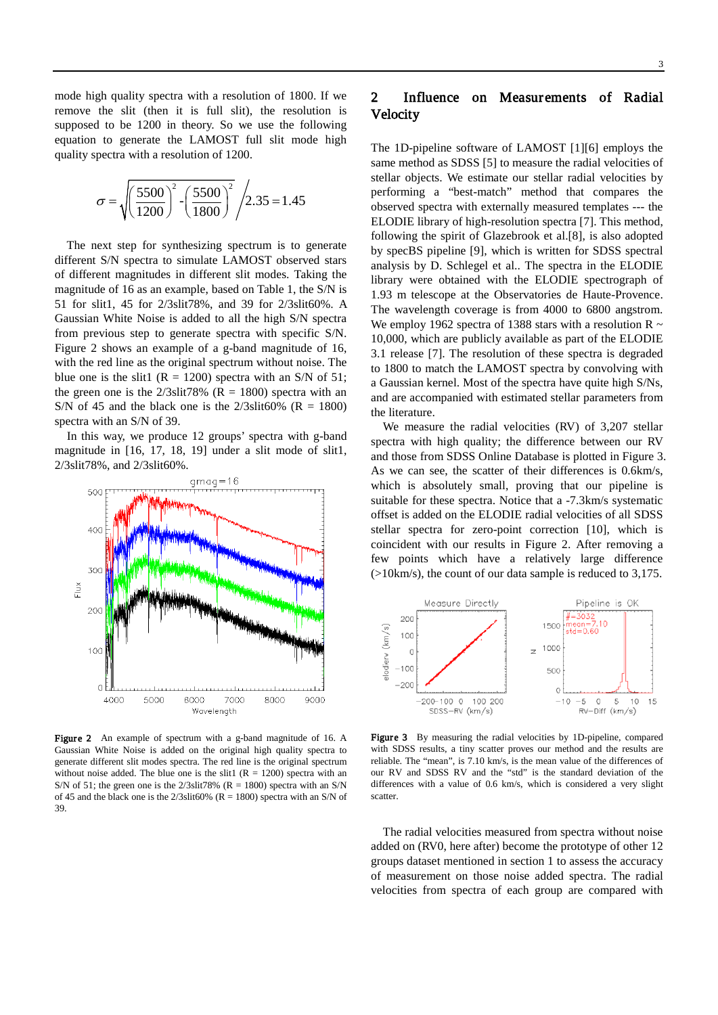mode high quality spectra with a resolution of 1800. If we remove the slit (then it is full slit), the resolution is supposed to be 1200 in theory. So we use the following equation to generate the LAMOST full slit mode high quality spectra with a resolution of 1200.

$$
\sigma = \sqrt{\left(\frac{5500}{1200}\right)^2 - \left(\frac{5500}{1800}\right)^2} / 2.35 = 1.45
$$

 The next step for synthesizing spectrum is to generate different S/N spectra to simulate LAMOST observed stars of different magnitudes in different slit modes. Taking the magnitude of 16 as an example, based on Table 1, the S/N is 51 for slit1, 45 for 2/3slit78%, and 39 for 2/3slit60%. A Gaussian White Noise is added to all the high S/N spectra from previous step to generate spectra with specific S/N. Figure 2 shows an example of a g-band magnitude of 16, with the red line as the original spectrum without noise. The blue one is the slit1 ( $R = 1200$ ) spectra with an S/N of 51; the green one is the  $2/3$ slit78% (R = 1800) spectra with an S/N of 45 and the black one is the  $2/3$ slit $60\%$  (R = 1800) spectra with an S/N of 39.

 In this way, we produce 12 groups' spectra with g-band magnitude in [16, 17, 18, 19] under a slit mode of slit1, 2/3slit78%, and 2/3slit60%.



Figure 2 An example of spectrum with a g-band magnitude of 16. A Gaussian White Noise is added on the original high quality spectra to generate different slit modes spectra. The red line is the original spectrum without noise added. The blue one is the slit1 ( $R = 1200$ ) spectra with an S/N of 51; the green one is the  $2/3$ slit78% (R = 1800) spectra with an S/N of 45 and the black one is the  $2/3$ slit60% (R = 1800) spectra with an S/N of 39.

# 2 Influence on Measurements of Radial Velocity

The 1D-pipeline software of LAMOST [1][6] employs the same method as SDSS [5] to measure the radial velocities of stellar objects. We estimate our stellar radial velocities by performing a "best-match" method that compares the observed spectra with externally measured templates --- the ELODIE library of high-resolution spectra [7]. This method, following the spirit of Glazebrook et al.[8], is also adopted by specBS pipeline [9], which is written for SDSS spectral analysis by D. Schlegel et al.. The spectra in the ELODIE library were obtained with the ELODIE spectrograph of 1.93 m telescope at the Observatories de Haute-Provence. The wavelength coverage is from 4000 to 6800 angstrom. We employ 1962 spectra of 1388 stars with a resolution  $R \sim$ 10,000, which are publicly available as part of the ELODIE 3.1 release [7]. The resolution of these spectra is degraded to 1800 to match the LAMOST spectra by convolving with a Gaussian kernel. Most of the spectra have quite high S/Ns, and are accompanied with estimated stellar parameters from the literature.

We measure the radial velocities (RV) of 3,207 stellar spectra with high quality; the difference between our RV and those from SDSS Online Database is plotted in Figure 3. As we can see, the scatter of their differences is 0.6km/s, which is absolutely small, proving that our pipeline is suitable for these spectra. Notice that a -7.3km/s systematic offset is added on the ELODIE radial velocities of all SDSS stellar spectra for zero-point correction [10], which is coincident with our results in Figure 2. After removing a few points which have a relatively large difference (>10km/s), the count of our data sample is reduced to 3,175.



Figure 3 By measuring the radial velocities by 1D-pipeline, compared with SDSS results, a tiny scatter proves our method and the results are reliable. The "mean", is 7.10 km/s, is the mean value of the differences of our RV and SDSS RV and the "std" is the standard deviation of the differences with a value of 0.6 km/s, which is considered a very slight scatter.

The radial velocities measured from spectra without noise added on (RV0, here after) become the prototype of other 12 groups dataset mentioned in section 1 to assess the accuracy of measurement on those noise added spectra. The radial velocities from spectra of each group are compared with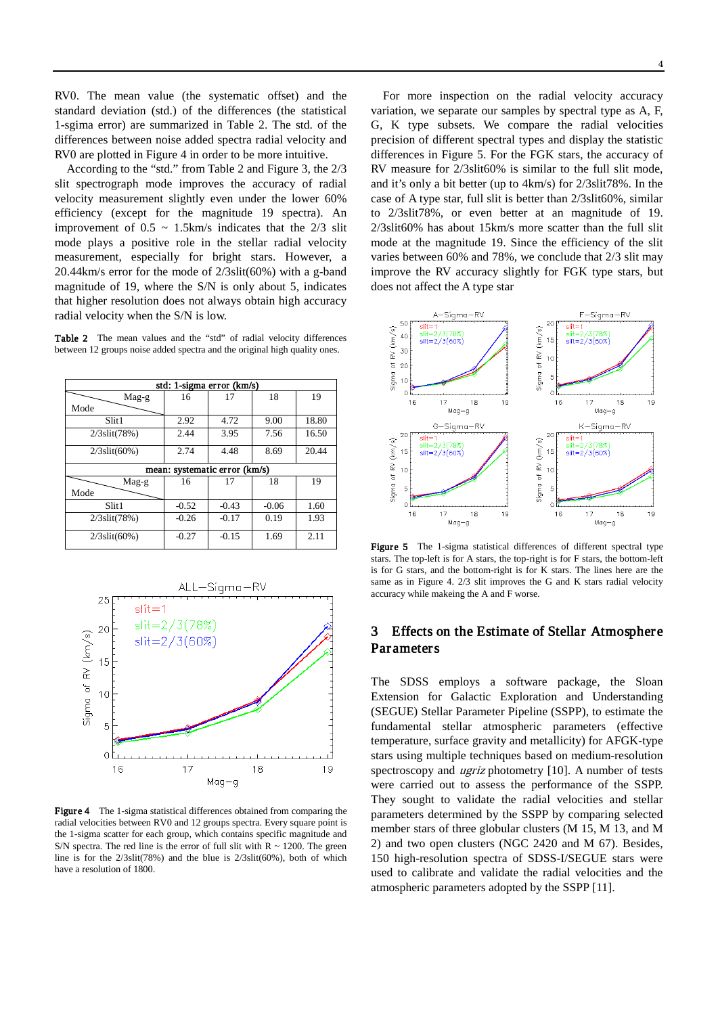RV0. The mean value (the systematic offset) and the standard deviation (std.) of the differences (the statistical 1-sgima error) are summarized in Table 2. The std. of the differences between noise added spectra radial velocity and RV0 are plotted in Figure 4 in order to be more intuitive.

According to the "std." from Table 2 and Figure 3, the 2/3 slit spectrograph mode improves the accuracy of radial velocity measurement slightly even under the lower 60% efficiency (except for the magnitude 19 spectra). An improvement of  $0.5 \sim 1.5$ km/s indicates that the  $2/3$  slit mode plays a positive role in the stellar radial velocity measurement, especially for bright stars. However, a 20.44km/s error for the mode of 2/3slit(60%) with a g-band magnitude of 19, where the S/N is only about 5, indicates that higher resolution does not always obtain high accuracy radial velocity when the S/N is low.

Table 2 The mean values and the "std" of radial velocity differences between 12 groups noise added spectra and the original high quality ones.

| std: 1-sigma error (km/s)     |         |         |         |       |  |  |
|-------------------------------|---------|---------|---------|-------|--|--|
| Mag-g                         | 16      | 17      | 18      | 19    |  |  |
| Mode                          |         |         |         |       |  |  |
| Slit1                         | 2.92    | 4.72    | 9.00    | 18.80 |  |  |
| $2/3$ slit $(78%)$            | 2.44    | 3.95    | 7.56    | 16.50 |  |  |
| $2/3$ slit(60%)               | 2.74    | 4.48    | 8.69    | 20.44 |  |  |
| mean: systematic error (km/s) |         |         |         |       |  |  |
|                               |         |         |         |       |  |  |
| Mag-g                         | 16      | 17      | 18      | 19    |  |  |
| Mode                          |         |         |         |       |  |  |
| Slit1                         | $-0.52$ | $-0.43$ | $-0.06$ | 1.60  |  |  |
| $2/3$ slit $(78%)$            | $-0.26$ | $-0.17$ | 0.19    | 1.93  |  |  |



Figure 4 The 1-sigma statistical differences obtained from comparing the radial velocities between RV0 and 12 groups spectra. Every square point is the 1-sigma scatter for each group, which contains specific magnitude and S/N spectra. The red line is the error of full slit with  $R \sim 1200$ . The green line is for the 2/3slit(78%) and the blue is 2/3slit(60%), both of which have a resolution of 1800.

For more inspection on the radial velocity accuracy variation, we separate our samples by spectral type as A, F, G, K type subsets. We compare the radial velocities precision of different spectral types and display the statistic differences in Figure 5. For the FGK stars, the accuracy of RV measure for 2/3slit60% is similar to the full slit mode, and it's only a bit better (up to 4km/s) for 2/3slit78%. In the case of A type star, full slit is better than 2/3slit60%, similar to 2/3slit78%, or even better at an magnitude of 19. 2/3slit60% has about 15km/s more scatter than the full slit mode at the magnitude 19. Since the efficiency of the slit varies between 60% and 78%, we conclude that 2/3 slit may improve the RV accuracy slightly for FGK type stars, but does not affect the A type star



Figure 5 The 1-sigma statistical differences of different spectral type stars. The top-left is for A stars, the top-right is for F stars, the bottom-left is for G stars, and the bottom-right is for K stars. The lines here are the same as in Figure 4. 2/3 slit improves the G and K stars radial velocity accuracy while makeing the A and F worse.

## 3 Effects on the Estimate of Stellar Atmosphere Parameters

The SDSS employs a software package, the Sloan Extension for Galactic Exploration and Understanding (SEGUE) Stellar Parameter Pipeline (SSPP), to estimate the fundamental stellar atmospheric parameters (effective temperature, surface gravity and metallicity) for AFGK-type stars using multiple techniques based on medium-resolution spectroscopy and ugriz photometry [10]. A number of tests were carried out to assess the performance of the SSPP. They sought to validate the radial velocities and stellar parameters determined by the SSPP by comparing selected member stars of three globular clusters (M 15, M 13, and M 2) and two open clusters (NGC 2420 and M 67). Besides, 150 high-resolution spectra of SDSS-I/SEGUE stars were used to calibrate and validate the radial velocities and the atmospheric parameters adopted by the SSPP [11].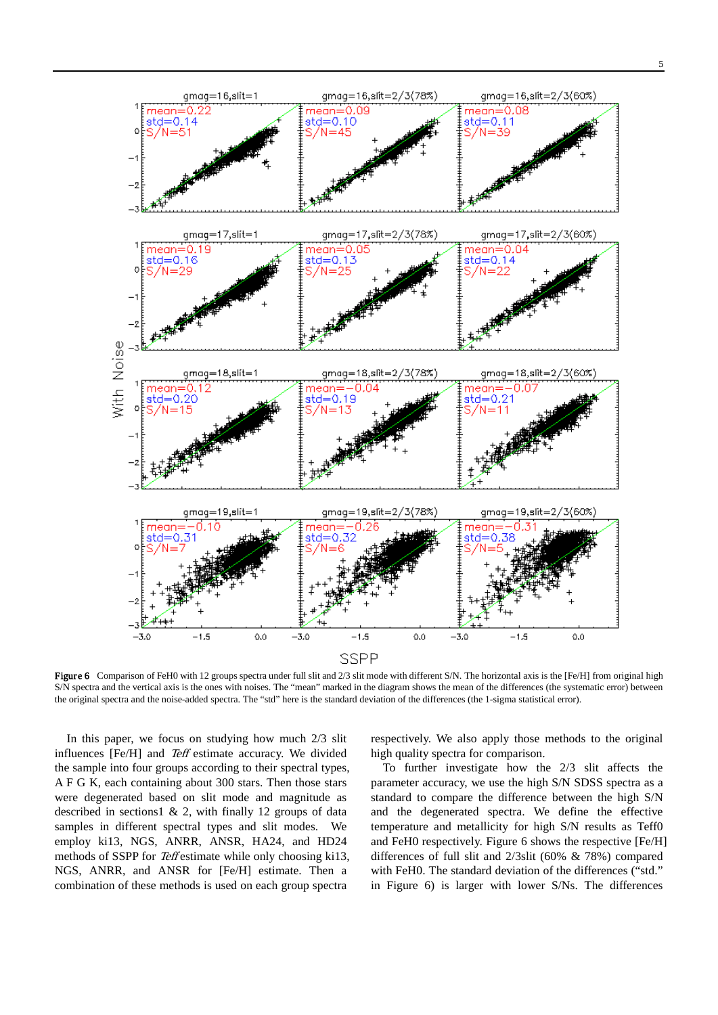

Figure 6 Comparison of FeH0 with 12 groups spectra under full slit and 2/3 slit mode with different S/N. The horizontal axis is the [Fe/H] from original high S/N spectra and the vertical axis is the ones with noises. The "mean" marked in the diagram shows the mean of the differences (the systematic error) between the original spectra and the noise-added spectra. The "std" here is the standard deviation of the differences (the 1-sigma statistical error).

In this paper, we focus on studying how much 2/3 slit influences [Fe/H] and Teff estimate accuracy. We divided the sample into four groups according to their spectral types, A F G K, each containing about 300 stars. Then those stars were degenerated based on slit mode and magnitude as described in sections  $1 \& 2$ , with finally 12 groups of data samples in different spectral types and slit modes. We employ ki13, NGS, ANRR, ANSR, HA24, and HD24 methods of SSPP for Teff estimate while only choosing ki13, NGS, ANRR, and ANSR for [Fe/H] estimate. Then a combination of these methods is used on each group spectra

respectively. We also apply those methods to the original high quality spectra for comparison.

To further investigate how the 2/3 slit affects the parameter accuracy, we use the high S/N SDSS spectra as a standard to compare the difference between the high S/N and the degenerated spectra. We define the effective temperature and metallicity for high S/N results as Teff0 and FeH0 respectively. Figure 6 shows the respective [Fe/H] differences of full slit and 2/3slit (60% & 78%) compared with FeH0. The standard deviation of the differences ("std." in Figure 6) is larger with lower S/Ns. The differences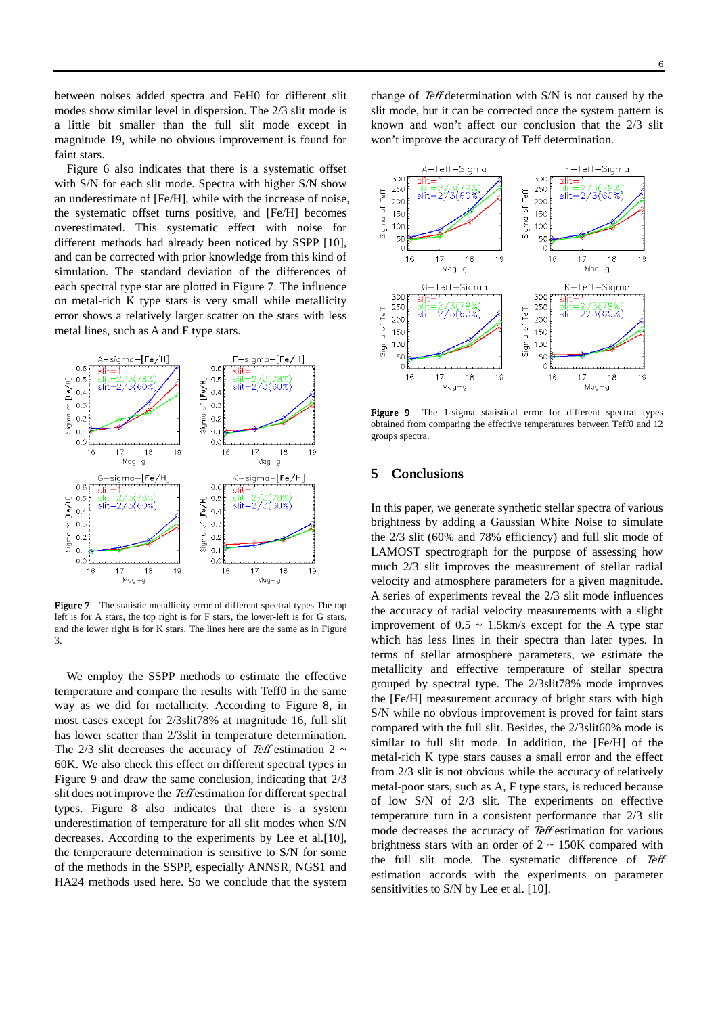between noises added spectra and FeH0 for different slit modes show similar level in dispersion. The 2/3 slit mode is a little bit smaller than the full slit mode except in magnitude 19, while no obvious improvement is found for faint stars.

Figure 6 also indicates that there is a systematic offset with S/N for each slit mode. Spectra with higher S/N show an underestimate of [Fe/H], while with the increase of noise, the systematic offset turns positive, and [Fe/H] becomes overestimated. This systematic effect with noise for different methods had already been noticed by SSPP [10], and can be corrected with prior knowledge from this kind of simulation. The standard deviation of the differences of each spectral type star are plotted in Figure 7. The influence on metal-rich K type stars is very small while metallicity error shows a relatively larger scatter on the stars with less metal lines, such as A and F type stars.



Figure 7 The statistic metallicity error of different spectral types The top left is for A stars, the top right is for F stars, the lower-left is for G stars, and the lower right is for K stars. The lines here are the same as in Figure 3.

We employ the SSPP methods to estimate the effective temperature and compare the results with Teff0 in the same way as we did for metallicity. According to Figure 8, in most cases except for 2/3slit78% at magnitude 16, full slit has lower scatter than 2/3slit in temperature determination. The 2/3 slit decreases the accuracy of Teff estimation 2  $\sim$ 60K. We also check this effect on different spectral types in Figure 9 and draw the same conclusion, indicating that 2/3 slit does not improve the Teff estimation for different spectral types. Figure 8 also indicates that there is a system underestimation of temperature for all slit modes when S/N decreases. According to the experiments by Lee et al.[10], the temperature determination is sensitive to S/N for some of the methods in the SSPP, especially ANNSR, NGS1 and HA24 methods used here. So we conclude that the system change of Teff determination with S/N is not caused by the slit mode, but it can be corrected once the system pattern is known and won't affect our conclusion that the 2/3 slit won't improve the accuracy of Teff determination.



Figure 9 The 1-sigma statistical error for different spectral types obtained from comparing the effective temperatures between Teff0 and 12 groups spectra.

### 5 Conclusions

In this paper, we generate synthetic stellar spectra of various brightness by adding a Gaussian White Noise to simulate the 2/3 slit (60% and 78% efficiency) and full slit mode of LAMOST spectrograph for the purpose of assessing how much 2/3 slit improves the measurement of stellar radial velocity and atmosphere parameters for a given magnitude. A series of experiments reveal the 2/3 slit mode influences the accuracy of radial velocity measurements with a slight improvement of  $0.5 \sim 1.5 \text{km/s}$  except for the A type star which has less lines in their spectra than later types. In terms of stellar atmosphere parameters, we estimate the metallicity and effective temperature of stellar spectra grouped by spectral type. The 2/3slit78% mode improves the [Fe/H] measurement accuracy of bright stars with high S/N while no obvious improvement is proved for faint stars compared with the full slit. Besides, the 2/3slit60% mode is similar to full slit mode. In addition, the [Fe/H] of the metal-rich K type stars causes a small error and the effect from 2/3 slit is not obvious while the accuracy of relatively metal-poor stars, such as A, F type stars, is reduced because of low S/N of 2/3 slit. The experiments on effective temperature turn in a consistent performance that 2/3 slit mode decreases the accuracy of Teff estimation for various brightness stars with an order of  $2 \sim 150K$  compared with the full slit mode. The systematic difference of Teff estimation accords with the experiments on parameter sensitivities to S/N by Lee et al. [10].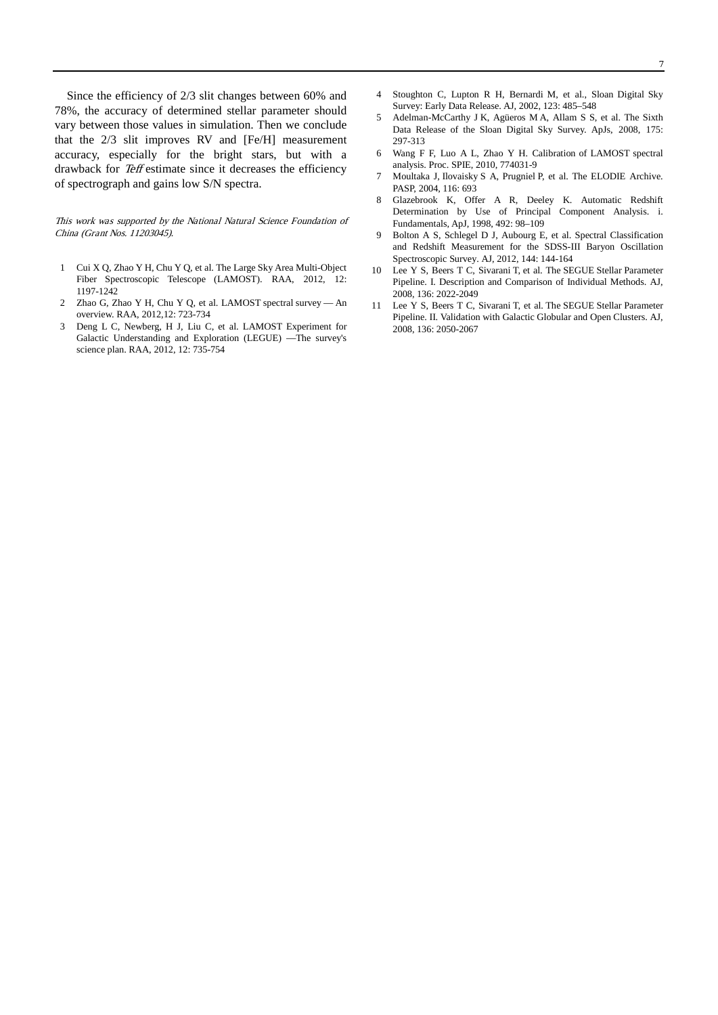Since the efficiency of 2/3 slit changes between 60% and 78%, the accuracy of determined stellar parameter should vary between those values in simulation. Then we conclude that the 2/3 slit improves RV and [Fe/H] measurement accuracy, especially for the bright stars, but with a drawback for Teff estimate since it decreases the efficiency of spectrograph and gains low S/N spectra.

This work was supported by the National Natural Science Foundation of China (Grant Nos. 11203045).

- 1 Cui X Q, Zhao Y H, Chu Y Q, et al. The Large Sky Area Multi-Object Fiber Spectroscopic Telescope (LAMOST). RAA, 2012, 12: 1197-1242
- 2 Zhao G, Zhao Y H, Chu Y Q, et al. LAMOST spectral survey An overview. RAA, 2012,12: 723-734
- 3 Deng L C, Newberg, H J, Liu C, et al. LAMOST Experiment for Galactic Understanding and Exploration (LEGUE) —The survey's science plan. RAA, 2012, 12: 735-754
- 4 Stoughton C, Lupton R H, Bernardi M, et al., Sloan Digital Sky Survey: Early Data Release. AJ, 2002, 123: 485–548
- 5 Adelman-McCarthy J K, Agüeros M A, Allam S S, et al. The Sixth Data Release of the Sloan Digital Sky Survey. ApJs, 2008, 175: 297-313
- 6 Wang F F, Luo A L, Zhao Y H. Calibration of LAMOST spectral analysis. Proc. SPIE, 2010, 774031-9
- 7 Moultaka J, Ilovaisky S A, Prugniel P, et al. The ELODIE Archive. PASP, 2004, 116: 693
- 8 Glazebrook K, Offer A R, Deeley K. Automatic Redshift Determination by Use of Principal Component Analysis. i. Fundamentals, ApJ, 1998, 492: 98–109
- 9 Bolton A S, Schlegel D J, Aubourg E, et al. Spectral Classification and Redshift Measurement for the SDSS-III Baryon Oscillation Spectroscopic Survey. AJ, 2012, 144: 144-164
- 10 Lee Y S, Beers T C, Sivarani T, et al. The SEGUE Stellar Parameter Pipeline. I. Description and Comparison of Individual Methods. AJ, 2008, 136: 2022-2049
- 11 Lee Y S, Beers T C, Sivarani T, et al. The SEGUE Stellar Parameter Pipeline. II. Validation with Galactic Globular and Open Clusters. AJ, 2008, 136: 2050-2067